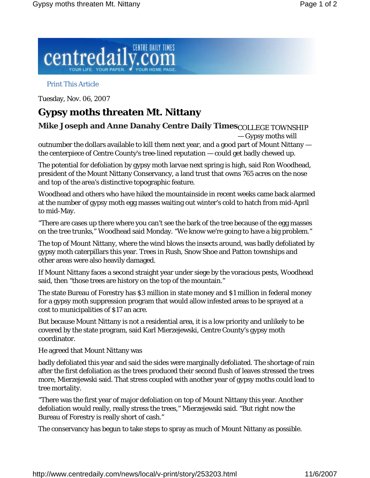

## Print This Article

Tuesday, Nov. 06, 2007

## **Gypsy moths threaten Mt. Nittany**

**Mike Joseph and Anne Danahy Centre Daily Times** $_{\text{COLLEGE} }$  **<code>TOWNSHIP</code>** — Gypsy moths will

outnumber the dollars available to kill them next year, and a good part of Mount Nittany the centerpiece of Centre County's tree-lined reputation — could get badly chewed up.

The potential for defoliation by gypsy moth larvae next spring is high, said Ron Woodhead, president of the Mount Nittany Conservancy, a land trust that owns 765 acres on the nose and top of the area's distinctive topographic feature.

Woodhead and others who have hiked the mountainside in recent weeks came back alarmed at the number of gypsy moth egg masses waiting out winter's cold to hatch from mid-April to mid-May.

"There are cases up there where you can't see the bark of the tree because of the egg masses on the tree trunks," Woodhead said Monday. "We know we're going to have a big problem."

The top of Mount Nittany, where the wind blows the insects around, was badly defoliated by gypsy moth caterpillars this year. Trees in Rush, Snow Shoe and Patton townships and other areas were also heavily damaged.

If Mount Nittany faces a second straight year under siege by the voracious pests, Woodhead said, then "those trees are history on the top of the mountain."

The state Bureau of Forestry has \$3 million in state money and \$1 million in federal money for a gypsy moth suppression program that would allow infested areas to be sprayed at a cost to municipalities of \$17 an acre.

But because Mount Nittany is not a residential area, it is a low priority and unlikely to be covered by the state program, said Karl Mierzejewski, Centre County's gypsy moth coordinator.

He agreed that Mount Nittany was

badly defoliated this year and said the sides were marginally defoliated. The shortage of rain after the first defoliation as the trees produced their second flush of leaves stressed the trees more, Mierzejewski said. That stress coupled with another year of gypsy moths could lead to tree mortality.

"There was the first year of major defoliation on top of Mount Nittany this year. Another defoliation would really, really stress the trees," Mierzejewski said. "But right now the Bureau of Forestry is really short of cash."

The conservancy has begun to take steps to spray as much of Mount Nittany as possible.